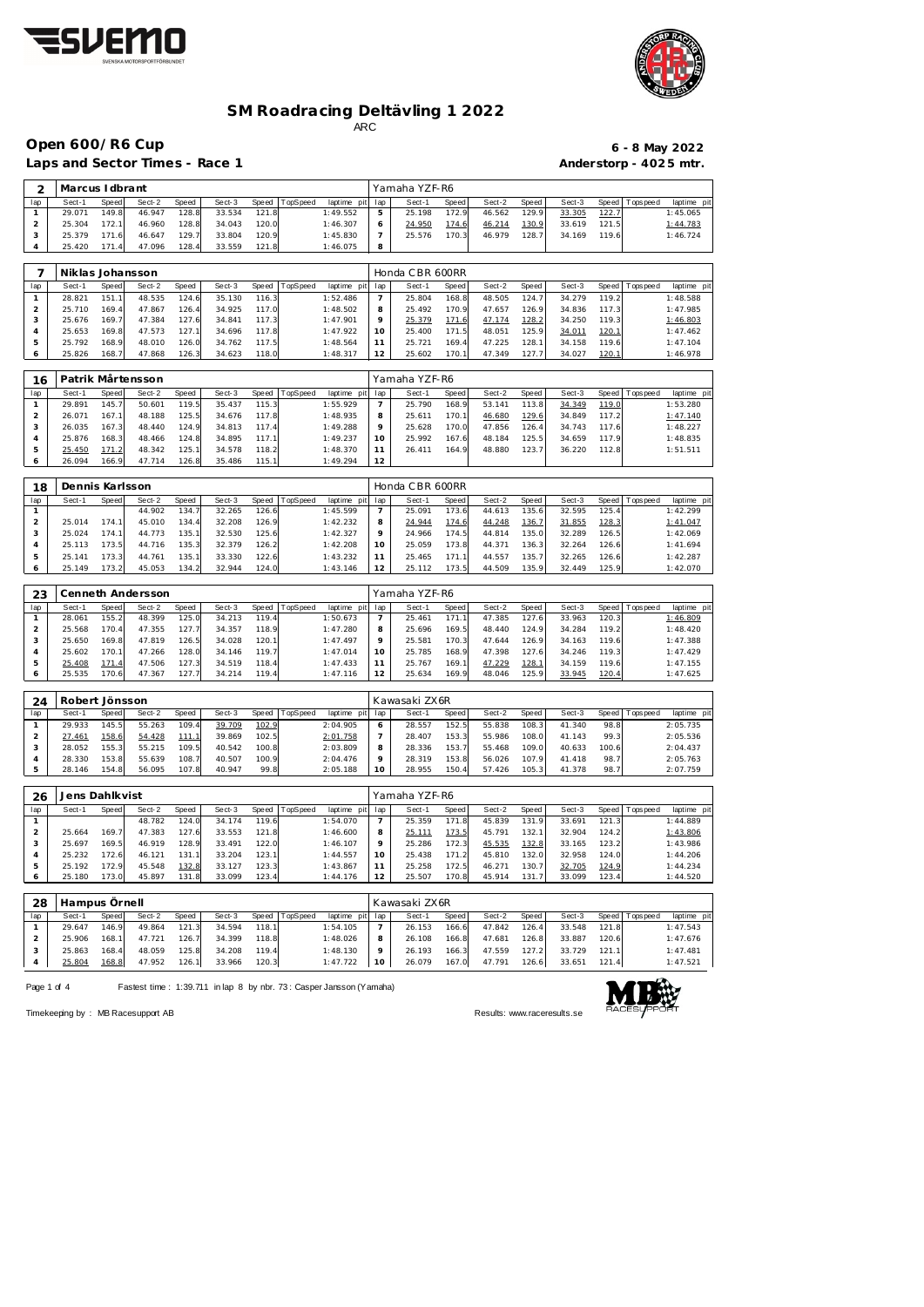



## **SM Roadracing Deltävling 1 2022** ARC

**Open 600/R6 Cup 6 - 8 May 2022**

 $\blacksquare$ 

Laps and Sector Times - Race 1 **Anderstorp - 4025 mtr.** 

 25.792 168.9 48.010 126.0 34.762 117.5 1:48.564 25.826 168.7 47.868 126.3 34.623 118.0 1:48.317

 25.400 171.5 48.051 125.9 34.011 120.1 1:47.462 25.721 169.4 47.225 128.1 34.158 119.6 1:47.104 12 25.602 170.1 47.349 127.7 34.027 <u>120.1</u> 1:46.978

| 2   | Marcus I dbrant  |       |        |       |        |       |          |             |     | Yamaha YZF-R6   |       |        |       |        |       |                   |            |
|-----|------------------|-------|--------|-------|--------|-------|----------|-------------|-----|-----------------|-------|--------|-------|--------|-------|-------------------|------------|
| lap | Sect-1           | Speed | Sect-2 | Speed | Sect-3 | Speed | TopSpeed | laptime pit | lap | Sect-1          | Speed | Sect-2 | Speed | Sect-3 |       | Speed   Tops peed | laptime pi |
|     | 29.071           | 149.8 | 46.947 | 128.8 | 33.534 | 121.8 |          | 1:49.552    | 5   | 25.198          | 172.9 | 46.562 | 129.9 | 33.305 | 122.7 |                   | 1:45.065   |
| 2   | 25.304           | 172.1 | 46.960 | 128.8 | 34.043 | 120.0 |          | 1:46.307    | 6   | 24.950          | 174.6 | 46.214 | 130.9 | 33.619 | 121.5 |                   | 1:44.783   |
| 3   | 25.379           | 171.6 | 46.647 | 129.7 | 33.804 | 120.9 |          | 1:45.830    |     | 25.576          | 170.3 | 46.979 | 128.7 | 34.169 | 119.6 |                   | 1:46.724   |
| 4   | 25.420           | 171.4 | 47.096 | 128.4 | 33.559 | 121.8 |          | 1:46.075    | 8   |                 |       |        |       |        |       |                   |            |
|     |                  |       |        |       |        |       |          |             |     |                 |       |        |       |        |       |                   |            |
|     |                  |       |        |       |        |       |          |             |     |                 |       |        |       |        |       |                   |            |
|     | Niklas Johansson |       |        |       |        |       |          |             |     | Honda CBR 600RR |       |        |       |        |       |                   |            |
| lap | Sect-1           | Speed | Sect-2 | Speed | Sect-3 | Speed | TopSpeed | laptime pit | lap | Sect-1          | Speed | Sect-2 | Speed | Sect-3 | Speed | Topspeed          | laptime pi |
|     | 28.821           | 151.1 | 48.535 | 124.6 | 35.130 | 116.3 |          | 1:52.486    |     | 25.804          | 168.8 | 48.505 | 124.7 | 34.279 | 119.2 |                   | 1:48.588   |
| 2   | 25.710           | 169.4 | 47.867 | 126.4 | 34.925 | 117.0 |          | 1:48.502    | 8   | 25.492          | 170.9 | 47.657 | 126.9 | 34.836 | 117.3 |                   | 1:47.985   |
| 3   | 25.676           | 169.7 | 47.384 | 127.6 | 34.841 | 117.3 |          | 1:47.901    | 9   | 25.379          | 171.6 | 47.174 | 128.2 | 34.250 | 119.3 |                   | 1:46.803   |

| 16  |        |       | Patrik Mårtensson |       |        |        |          |             |         | Yamaha YZF-R6 |       |        |       |        |       |                   |             |  |
|-----|--------|-------|-------------------|-------|--------|--------|----------|-------------|---------|---------------|-------|--------|-------|--------|-------|-------------------|-------------|--|
| lap | Sect-1 | Speed | Sect-2            | Speed | Sect-3 | Speed  | TopSpeed | laptime pit | lap     | Sect-1        | Speed | Sect-2 | Speed | Sect-3 |       | Speed   Tops peed | laptime pit |  |
|     | 29.891 | 145.7 | 50.601            | 119.5 | 35.437 | 115.3  |          | 1:55.929    |         | 25.790        | 168.9 | 53.141 | 113.8 | 34.349 | 119.0 |                   | 1:53.280    |  |
|     | 26.071 | 167.1 | 48.188            | 125.5 | 34.676 | 117.8  |          | 1:48.935    | 8       | 25.611        | 170.1 | 46.680 | 129.6 | 34.849 | 117.2 |                   | 1:47.140    |  |
|     | 26.035 | 167.3 | 48.440            | 124.9 | 34.813 | 117.4  |          | 1:49.288    | $\circ$ | 25.628        | 170.0 | 47.856 | 126.4 | 34.743 | 117.6 |                   | 1:48.227    |  |
| 4   | 25.876 | 168.3 | 48.466            | 124.8 | 34.895 | 117.1  |          | 1:49.237    | 10      | 25.992        | 167.6 | 48.184 | 125.5 | 34.659 | 117.9 |                   | 1:48.835    |  |
| b.  | 25.450 | 171.2 | 48.342            | 125.1 | 34.578 | 118.2  |          | 1:48.370    |         | 26.411        | 164.9 | 48.880 | 123.7 | 36.220 | 112.8 |                   | 1:51.511    |  |
| 6   | 26.094 | 166.9 | 47.714            | 126.8 | 35.486 | 115.11 |          | 1:49.294    | 12      |               |       |        |       |        |       |                   |             |  |

| 18  | Dennis Karlsson |        |        |       |        |        |          |                |     | Honda CBR 600RR |       |        |                    |        |        |            |             |
|-----|-----------------|--------|--------|-------|--------|--------|----------|----------------|-----|-----------------|-------|--------|--------------------|--------|--------|------------|-------------|
| lap | Sect-1          | Speed  | Sect-2 | Speed | Sect-3 | Speed  | TopSpeed | laptime<br>pit | lap | Sect-1          | Speed | Sect-2 | Speed              | Sect-3 | Speed  | T ops peed | laptime pit |
|     |                 |        | 44.902 | 134.  | 32.265 | 126.61 |          | 1:45.599       |     | 25.091          | 173.6 | 44.613 | 135.61             | 32.595 | 125.4  |            | 1:42.299    |
|     | 25.014          | 74.1   | 45.010 | 134.4 | 32.208 | 126.9  |          | 1:42.232       | 8   | 24.944          | 174.6 | 44.248 | <u> 136.7</u>      | 31.855 | 128.3  |            | 1:41.047    |
|     | 25.024          | 174.1  | 44.773 | 135.1 | 32.530 | 125.6  |          | 1:42.327       |     | 24.966          | 174.5 | 44.814 | 135.0              | 32.289 | 126.5  |            | 1:42.069    |
|     | 25.113          | '73.5' | 44.716 | 135.3 | 32.379 | 126.21 |          | 1:42.208       | 10  | 25.059          | 173.8 | 44.371 | 136.3 <sub>1</sub> | 32.264 | 126.6  |            | 1:41.694    |
| 5   | 25.141          | 173.3  | 44.761 | 135.1 | 33.330 | 122.6  |          | 1:43.232       |     | 25.465          | 171.7 | 44.557 | 135.7              | 32.265 | 126.61 |            | 1:42.287    |
|     | 25.149          | 73.2   | 45.053 | 134.2 | 32.944 | 124.0  |          | 1:43.146       |     | 25.112          | 173.5 | 44.509 | 135.9              | 32.449 | 125.9  |            | 1:42.070    |

| 23  |        |       | Cenneth Andersson |       |        |       |                |                 |         | Yamaha YZF-R6 |       |        |                |        |       |                |             |
|-----|--------|-------|-------------------|-------|--------|-------|----------------|-----------------|---------|---------------|-------|--------|----------------|--------|-------|----------------|-------------|
| lap | Sect-1 | Speed | Sect-2            | Speed | Sect-3 |       | Speed TopSpeed | laptime pit lap |         | Sect-1        | Speed | Sect-2 | Speed          | Sect-3 |       | Speed Topspeed | laptime pit |
|     | 28.061 | 155.2 | 48.399            | 125.0 | 34.213 | 119.4 |                | 1:50.673        |         | 25.461        | 171.  | 47.385 | 127.6          | 33.963 | 120.3 |                | 1:46.809    |
|     | 25.568 | 170.4 | 47.355            | 127.7 | 34.357 | 118.9 |                | 1:47.280        | 8       | 25.696        | 169.5 | 48.440 | 124.9          | 34.284 | 119.2 |                | 1:48.420    |
|     | 25.650 | 169.8 | 47.819            | 126.5 | 34.028 | 120.1 |                | 1:47.497        | $\circ$ | 25.581        | 170.3 | 47.644 | 126.9          | 34.163 | 119.6 |                | 1:47.388    |
|     | 25.602 | 170.1 | 47.266            | 128.0 | 34.146 | 119.7 |                | 1:47.014        |         | 25.785        | 168.9 | 47.398 | 127.6          | 34.246 | 119.3 |                | 1:47.429    |
|     | 25.408 | 171.4 | 47.506            | 127.3 | 34.519 | 118.4 |                | 1:47.433        |         | 25.767        | 169.1 | 47.229 | <u> 128.  </u> | 34.159 | 119.6 |                | 1:47.155    |
|     | 25.535 | 170.6 | 47.367            | 127.7 | 34.214 | 119.4 |                | 1:47.116        |         | 25.634        | 169.9 | 48.046 | 125.9          | 33.945 | 120.4 |                | 1:47.625    |

| 24  | Robert Jönsson |       |        |        |        |       |          |                 | Kawasaki ZX6R |                    |        |        |        |       |                 |             |
|-----|----------------|-------|--------|--------|--------|-------|----------|-----------------|---------------|--------------------|--------|--------|--------|-------|-----------------|-------------|
| lap | Sect-1         | Speed | Sect-2 | Speed  | Sect-3 | Speed | TopSpeed | laptime pit lap | Sect-1        | Speed              | Sect-2 | Speed  | Sect-3 |       | Speed Tops peed | laptime pit |
|     | 29.933         | 145.5 | 55.263 | 109.4  | 39.709 | 102.9 |          | 2:04.905        | 28.557        | 152.5              | 55.838 | 108.3  | 41.340 | 98.8  |                 | 2:05.735    |
|     | 27.461         | 158.6 | 54.428 | 111.1  | 39.869 | 102.5 |          | 2:01.758        | 28.407        | 153.3              | 55.986 | 108.0  | 41.143 | 99.3  |                 | 2:05.536    |
|     | 28.052         | 155.3 | 55.215 | 109.51 | 40.542 | 100.8 |          | 2:03.809        | 28.336        | 153.7 <sub>1</sub> | 55.468 | 109.01 | 40.633 | 100.6 |                 | 2:04.437    |
|     | 28.330         | 153.8 | 55.639 | 108.7  | 40.507 | 100.9 |          | 2:04.476        | 28.319        | 153.8              | 56.026 | 107.9  | 41.418 | 98.7  |                 | 2:05.763    |
|     | 28.146         | 154.8 | 56.095 | 107.8  | 40.947 | 99.8  |          | 2:05.188        | 28.955        | 150.4              | 57.426 | 105.3  | 41.378 | 98.7  |                 | 2:07.759    |

| 26  | Jens Dahlkvist |       |        |       |        |       |          |             |         | Yamaha YZF-R6 |              |        |       |        |       |            |             |
|-----|----------------|-------|--------|-------|--------|-------|----------|-------------|---------|---------------|--------------|--------|-------|--------|-------|------------|-------------|
| lap | Sect-1         | Speed | Sect-2 | Speed | Sect-3 | Speed | TopSpeed | laptime pit | lap     | Sect-1        | <b>Speed</b> | Sect-2 | Speed | Sect-3 | Speed | Tops pee d | laptime pit |
|     |                |       | 48.782 | 124.0 | 34.174 | 119.6 |          | 1:54.070    |         | 25.359        | 171.8        | 45.839 | 131.9 | 33.691 | 121.3 |            | 1:44.889    |
|     | 25.664         | 169.7 | 47.383 | 127.6 | 33.553 | 121.8 |          | 1:46.600    | 8       | 25.111        | 173.5        | 45.791 | 132.  | 32.904 | 124.2 |            | 1:43.806    |
|     | 25.697         | 169.5 | 46.919 | 128.9 | 33.491 | 122.0 |          | 1:46.107    | $\circ$ | 25.286        | 172.3        | 45.535 | 132.8 | 33.165 | 123.2 |            | 1:43.986    |
|     | 25.232         | 172.6 | 46.121 | 131.1 | 33.204 | 123.1 |          | 1:44.557    | 10      | 25.438        | 171.2        | 45.810 | 132.0 | 32.958 | 124.0 |            | 1:44.206    |
|     | 25.192         | 172.9 | 45.548 | 132.8 | 33.127 | 123.3 |          | 1:43.867    |         | 25.258        | 172.5        | 46.271 | 130.7 | 32.705 | 124.9 |            | 1:44.234    |
|     | 25.180         | 173.0 | 45.897 | 131.8 | 33.099 | 123.4 |          | 1:44.176    | 12      | 25.507        | 170.8        | 45.914 | 131.  | 33.099 | 123.4 |            | 1:44.520    |

| 28  | Hampus Örnell |       |        |       |        |         |          |                 |    | Kawasaki ZX6R |         |        |       |        |       |                |             |
|-----|---------------|-------|--------|-------|--------|---------|----------|-----------------|----|---------------|---------|--------|-------|--------|-------|----------------|-------------|
| lap | Sect-1        | Speed | Sect-2 | Speed | Sect-3 | Speed I | TopSpeed | laptime pit lap |    | Sect-1        | Speed I | Sect-2 | Speed | Sect-3 |       | Speed Topspeed | laptime pit |
|     | 29.647        | 146.9 | 49.864 | 121.3 | 34.594 | 118.1   |          | 1:54.105        |    | 26.153        | 166.6   | 47.842 | 126.4 | 33.548 | 121.8 |                | 1:47.543    |
|     | 25.906        | 168.1 | 47.721 | 126.7 | 34.399 | 118.8   |          | 1:48.026        |    | 26.108        | 166.8   | 47.681 | 126.8 | 33.887 | 120.6 |                | 1:47.676    |
|     | 25.863        | 168.4 | 48.059 | 125.8 | 34.208 | 119.4   |          | 1:48.130        |    | 26.193        | 166.3   | 47.559 | 127.2 | 33.729 | 121.1 |                | 1:47.481    |
|     | 25.804        | 168.8 | 47.952 | 126.1 | 33.966 | 120.3   |          | 1:47.722        | 10 | 26.079        | 167.0   | 47.791 | 126.6 | 33.651 | 121.4 |                | 1:47.521    |

Page 1 of 4 Fastest time : 1:39.711 in lap 8 by nbr. 73 : Casper Jansson (Yamaha)



Timekeeping by : MB Racesupport AB **Results:<www.raceresults.se>**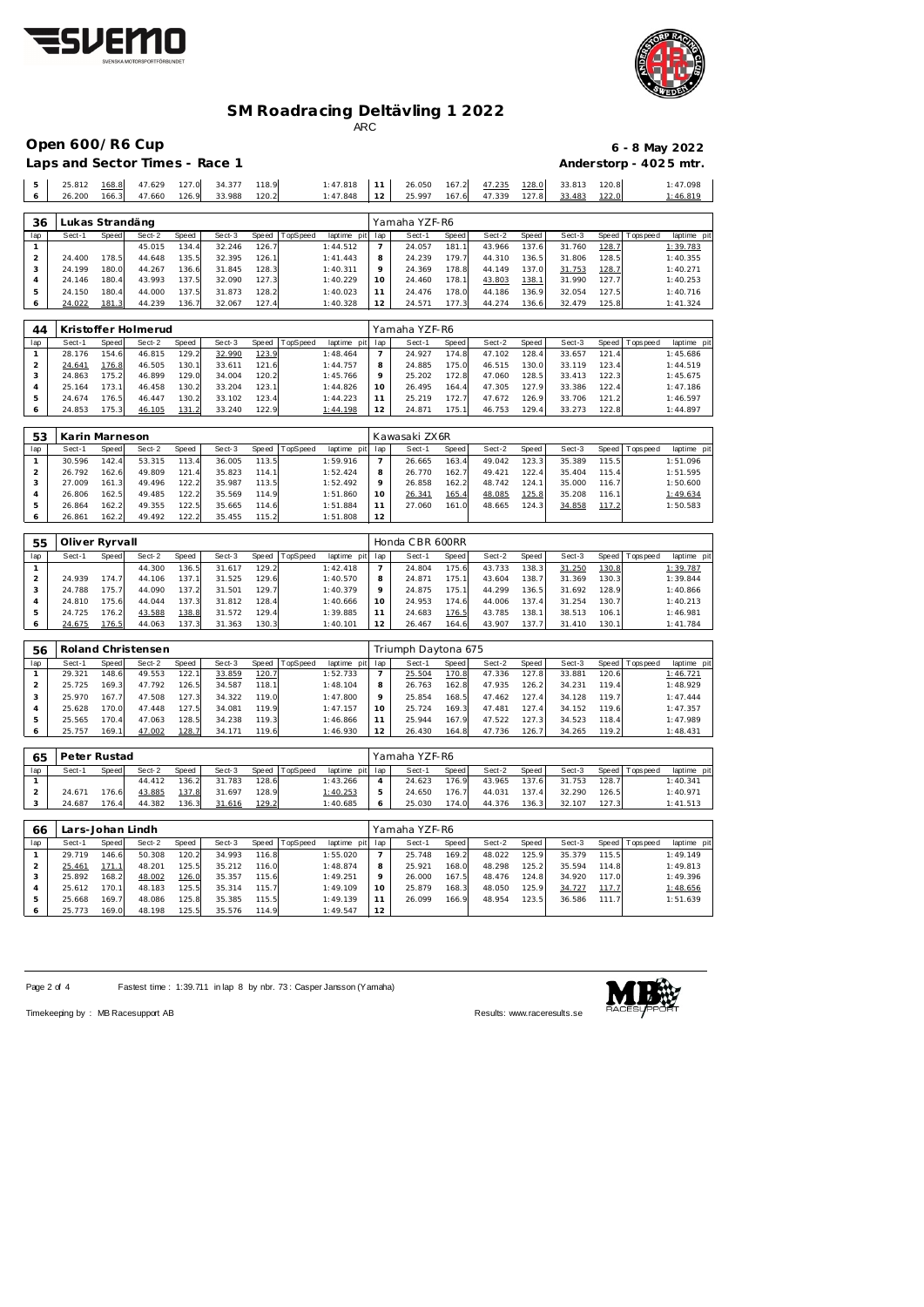



# **SM Roadracing Deltävling 1 2022**

ARC

|        | Open 600/R6 Cup                |                |                  |                |                  |                |          |                      |    |                  |                |                  |                |                  |                |                 | $6 - 8$ May 2022       |
|--------|--------------------------------|----------------|------------------|----------------|------------------|----------------|----------|----------------------|----|------------------|----------------|------------------|----------------|------------------|----------------|-----------------|------------------------|
|        | Laps and Sector Times - Race 1 |                |                  |                |                  |                |          |                      |    |                  |                |                  |                |                  |                |                 | Anderstorp - 4025 mtr. |
| 5<br>6 | 25.812<br>26.200               | 168.8<br>166.3 | 47.629<br>47.660 | 127.0<br>126.9 | 34.377<br>33.988 | 118.9<br>120.2 |          | 1:47.818<br>1:47.848 | 12 | 26.050<br>25.997 | 167.2<br>167.6 | 47.235<br>47.339 | 128.0<br>127.8 | 33.813<br>33.483 | 120.8<br>122.0 |                 | 1:47.098<br>1:46.819   |
| 36     |                                |                | Lukas Strandäng  |                |                  |                |          |                      |    | Yamaha YZF-R6    |                |                  |                |                  |                |                 |                        |
| lap    | Sect-1                         | Speed          | Sect-2           | Speed          | Sect-3           | Speed          | TopSpeed | laptime pit lap      |    | Sect-1           | Speed          | Sect-2           | Speed          | Sect-3           |                | Speed Tops peed | laptime pi             |
|        |                                |                | 45.015           | 134.4          | 32.246           | 126.7          |          | 1:44.512             |    | 24.057           | 181.1          | 43.966           | 137.6          | 31.760           | 128.7          |                 | 1:39.783               |

| lap | Sect-1 | Speed | Sect-2              | Speed | Sect-3 | I TopSpeed<br>Speed | laptime<br>pitl | lap         | Sect-1        | Speed | Sect-2 | Speed | Sect-3 |              | Speed   Tops peed | laptime pi |  |
|-----|--------|-------|---------------------|-------|--------|---------------------|-----------------|-------------|---------------|-------|--------|-------|--------|--------------|-------------------|------------|--|
| 44  |        |       | Kristoffer Holmerud |       |        |                     |                 |             | Yamaha YZF-R6 |       |        |       |        |              |                   |            |  |
|     |        |       |                     |       |        |                     |                 |             |               |       |        |       |        |              |                   |            |  |
|     | 24.022 | 181.3 | 44.239              | 136.7 | 32.067 | 127.4               | 1:40.328        | $^{\circ}2$ | 24.571        | 177.3 | 44.274 | 136.6 | 32.479 | 125.8        |                   | 1: 41.324  |  |
|     | 24.150 | 180.4 | 44.000              | 137.5 | 31.873 | 128.2               | 1:40.023        |             | 24.476        | 78.0  | 44.186 | 136.9 | 32.054 | 127.5        |                   | 1:40.716   |  |
|     | 24.146 | 180.4 | 43.993              | 137.5 | 32.090 | 127.3               | 1:40.229        | 10          | 24.460        | 178.1 | 43.803 | 138.1 | 31.990 | 127.7        |                   | 1:40.253   |  |
|     | 24.199 | 180.0 | 44.267              | 136.6 | 31.845 | 128.3               | 1:40.311        | $\circ$     | 24.369        | 78.8  | 44.149 | 137.0 | 31.753 | <u>128.7</u> |                   | 1:40.271   |  |
|     | 24.400 | 178.5 | 44.648              | 135.5 | 32.395 | 126.1               | 1: 41.443       |             | 24.239        | 79.7  | 44.310 | 136.5 | 31.806 | 128.5        |                   | 1:40.355   |  |

| lap | Sect-1 | Speed. | Sect-2 | Spe ed | Sect-3 | Speed | lop Speed. | laptime<br>DILI | lap | Sect-1 | Speed. | Sect-2 | Speed | Sect-3 | Speed | I opspeed | laptime pr |
|-----|--------|--------|--------|--------|--------|-------|------------|-----------------|-----|--------|--------|--------|-------|--------|-------|-----------|------------|
|     | 28.176 | 154.6  | 46.815 | 129.2  | 32.990 | 123.9 |            | 1:48.464        |     | 24.927 | 74.8   | 47.102 | 128.4 | 33.657 | 121.4 |           | 1:45.686   |
|     | 24.641 | 76.8   | 46.505 | 130.1  | 33.611 | 121.6 |            | 1:44.757        |     | 24.885 | 75.0   | 46.515 | 130.0 | 33.119 | 123.4 |           | 1:44.519   |
|     | 24.863 | 75.2   | 46.899 | 129.0  | 34.004 | 120.2 |            | 1:45.766        |     | 25.202 | 72.8   | 47.060 | 128.5 | 33.413 | 122.3 |           | 1:45.675   |
|     | 25.164 | 73.1   | 46.458 | 130.2  | 33.204 | 123.1 |            | 1:44.826        |     | 26.495 | 164.4  | 47.305 | 127.9 | 33.386 | 122.4 |           | 1:47.186   |
|     | 24.674 | 176.51 | 46.447 | 130.2  | 33.102 | 123.4 |            | 1:44.223        |     | 25.219 | 72.7   | 47.672 | 126.9 | 33.706 | 121.2 |           | 1:46.597   |
|     | 24.853 | 75.3   | 46.105 | 131.2  | 33.240 | 122.9 |            | 1:44.198        |     | 24.871 | 75.1   | 46.753 | 129.4 | 33.273 | 122.8 |           | 1:44.897   |

| 53  | Karin Marneson |       |        |       |        |       |                 |                |     | Kawasaki ZX6R |       |        |       |        |       |                 |             |
|-----|----------------|-------|--------|-------|--------|-------|-----------------|----------------|-----|---------------|-------|--------|-------|--------|-------|-----------------|-------------|
| lap | Sect-1         | Speed | Sect-2 | Speed | Sect-3 | Speed | <b>TopSpeed</b> | laptime<br>pit | lap | Sect-1        | Speed | Sect-2 | Speed | Sect-3 |       | Speed Tops peed | laptime pit |
|     | 30.596         | 142.4 | 53.315 | 113.4 | 36.005 | 113.5 |                 | 1:59.916       |     | 26.665        | 163.4 | 49.042 | 123.3 | 35.389 | 115.5 |                 | 1:51.096    |
|     | 26.792         | 162.6 | 49.809 | 121.4 | 35.823 | 114.1 |                 | 1:52.424       |     | 26.770        | 162.7 | 49.421 | 122.4 | 35.404 | 115.4 |                 | 1:51.595    |
|     | 27.009         | 161.3 | 49.496 | 122.2 | 35.987 | 113.5 |                 | 1:52.492       |     | 26.858        | 162.2 | 48.742 | 124.1 | 35.000 | 116.7 |                 | 1:50.600    |
|     | 26.806         | 162.5 | 49.485 | 122.2 | 35.569 | 114.9 |                 | 1:51.860       |     | 26.341        | 165.4 | 48.085 | 125.8 | 35.208 | 116.1 |                 | 1:49.634    |
|     | 26.864         | 162.2 | 49.355 | 122.5 | 35.665 | 114.6 |                 | 1:51.884       |     | 27.060        | 161.0 | 48.665 | 124.3 | 34.858 | 117.2 |                 | 1:50.583    |
|     | 26.861         | 162.2 | 49.492 | 122.2 | 35.455 | 115.2 |                 | 1:51.808       | 12  |               |       |        |       |        |       |                 |             |

| 55  | Oliver Ryrvall |       |        |       |        |       |          |                 |         | Honda CBR 600RR |       |        |       |        |       |                 |             |
|-----|----------------|-------|--------|-------|--------|-------|----------|-----------------|---------|-----------------|-------|--------|-------|--------|-------|-----------------|-------------|
| lap | Sect-1         | Speed | Sect-2 | Speed | Sect-3 | Speed | TopSpeed | laptime<br>pitl | lap     | Sect-1          | Speed | Sect-2 | Speed | Sect-3 |       | Speed Tops peed | laptime pit |
|     |                |       | 44.300 | 136.5 | 31.617 | 129.2 |          | 1:42.418        |         | 24.804          | 175.6 | 43.733 | 138.3 | 31.250 | 130.8 |                 | 1:39.787    |
|     | 24.939         | 174.7 | 44.106 | 137.  | 31.525 | 129.6 |          | 1:40.570        | 8       | 24.871          | 175.1 | 43.604 | 138.7 | 31.369 | 130.3 |                 | 1:39.844    |
|     | 24.788         | 175.7 | 44.090 | 137.2 | 31.501 | 129.7 |          | 1:40.379        | $\circ$ | 24.875          | 175.1 | 44.299 | 136.5 | 31.692 | 128.9 |                 | 1:40.866    |
|     | 24.810         | 175.6 | 44.044 | 137.3 | 31.812 | 128.4 |          | 1:40.666        | 10      | 24.953          | 174.6 | 44.006 | 137.4 | 31.254 | 130.7 |                 | 1:40.213    |
|     | 24.725         | 176.2 | 43.588 | 138.8 | 31.572 | 129.4 |          | 1:39.885        |         | 24.683          | 176.5 | 43.785 | 138.1 | 38.513 | 106.1 |                 | 1:46.981    |
|     | 24.675         | 176.5 | 44.063 | 137.3 | 31.363 | 130.3 |          | 1:40.101        |         | 26.467          | 164.6 | 43.907 | 137.7 | 31.410 | 130.1 |                 | 1:41.784    |

| 56             |        |       | Roland Christensen |       |        |                |          |                 |         | Triumph Daytona 675 |       |        |       |        |       |                 |             |
|----------------|--------|-------|--------------------|-------|--------|----------------|----------|-----------------|---------|---------------------|-------|--------|-------|--------|-------|-----------------|-------------|
| lap            | Sect-1 | Speed | Sect-2             | Speed | Sect-3 | Speed          | TopSpeed | laptime pit lap |         | Sect-1              | Speed | Sect-2 | Speed | Sect-3 |       | Speed Tops peed | laptime pit |
|                | 29.321 | 148.6 | 49.553             | 122.1 | 33.859 | <u> 120. 7</u> |          | 1:52.733        |         | 25.504              | 170.8 | 47.336 | 127.8 | 33.881 | 120.6 |                 | 1:46.721    |
|                | 25.725 | 169.3 | 47.792             | 126.5 | 34.587 | 118.1          |          | 1:48.104        |         | 26.763              | 162.8 | 47.935 | 126.2 | 34.231 | 119.4 |                 | 1:48.929    |
|                | 25.970 | 167.7 | 47.508             | 127.3 | 34.322 | 119.0          |          | 1:47.800        | $\circ$ | 25.854              | 168.5 | 47.462 | 127.4 | 34.128 | 119.7 |                 | 1:47.444    |
| $\overline{4}$ | 25.628 | 170.0 | 47.448             | 127.5 | 34.081 | 119.9          |          | 1:47.157        |         | 25.724              | 169.3 | 47.481 | 127.4 | 34.152 | 119.6 |                 | 1:47.357    |
|                | 25.565 | 170.4 | 47.063             | 128.5 | 34.238 | 119.3          |          | 1:46.866        |         | 25.944              | 167.9 | 47.522 | 127.3 | 34.523 | 118.4 |                 | 1:47.989    |
| 6              | 25.757 | 169.1 | 47.002             | 128.7 | 34.171 | 119.6          |          | 1:46.930        | 12      | 26.430              | 164.8 | 47.736 | 126.7 | 34.265 | 119.2 |                 | 1:48.431    |

| 65  | Peter Rustad |       |        |       |        |       |                |                 | Yamaha YZF-R6 |       |        |       |        |       |                   |             |
|-----|--------------|-------|--------|-------|--------|-------|----------------|-----------------|---------------|-------|--------|-------|--------|-------|-------------------|-------------|
| lap | Sect-1       | Speed | Sect-2 | Speed | Sect-3 |       | Speed TopSpeed | laptime pit lap | Sect-1        | Speed | Sect-2 | Speed | Sect-3 |       | Speed   Tops peed | laptime pit |
|     |              |       | 44.412 | 136.2 | 31.783 | 128.6 |                | 1:43.266        | 24.623        | 176.9 | 43.965 | 137.6 | 31.753 | 128.7 |                   | 1:40.341    |
|     | 24.671       | 176.6 | 43.885 | 137.8 | 31.697 | 128.9 |                | <u>1:40.253</u> | 24.650        | 176.7 | 44.031 | 137.4 | 32.290 | 126.5 |                   | 1:40.971    |
|     | 24.687       | 176.4 | 44.382 | 136.3 | 31.616 | 129.2 |                | 1:40.685        | 25.030        | 174.0 | 44.376 | 136.3 | 32.107 | 127.3 |                   | 1:41.513    |

| 66  | Lars-Johan Lindh |              |        |       |        |         |                 |             |         | Yamaha YZF-R6 |       |        |        |        |       |                 |             |
|-----|------------------|--------------|--------|-------|--------|---------|-----------------|-------------|---------|---------------|-------|--------|--------|--------|-------|-----------------|-------------|
| lap | Sect-1           | <b>Speed</b> | Sect-2 | Speed | Sect-3 | Speed T | <b>TopSpeed</b> | laptime pit | lap     | Sect-1        | Speed | Sect-2 | Speed  | Sect-3 |       | Speed Tops peed | laptime pit |
|     | 29.719           | 146.6        | 50.308 | 120.2 | 34.993 | 116.8   |                 | 1:55.020    |         | 25.748        | 169.2 | 48.022 | 125.9  | 35.379 | 115.5 |                 | 1:49.149    |
|     | 25.461           | 171.1        | 48.201 | 125.5 | 35.212 | 116.0   |                 | 1:48.874    | 8       | 25.921        | 168.0 | 48.298 | 125.21 | 35.594 | 114.8 |                 | 1:49.813    |
|     | 25.892           | 168.2        | 48.002 | 126.0 | 35.357 | 115.6   |                 | 1:49.251    | $\circ$ | 26.000        | 167.5 | 48.476 | 124.8  | 34.920 | 117.0 |                 | 1:49.396    |
|     | 25.612           | 170.1        | 48.183 | 125.5 | 35.314 | 115.7   |                 | 1:49.109    | 10      | 25.879        | 168.3 | 48.050 | 125.9  | 34.727 | 117.7 |                 | 1:48.656    |
|     | 25.668           | 169.7        | 48.086 | 125.8 | 35.385 | 115.5   |                 | 1:49.139    |         | 26.099        | 166.9 | 48.954 | 123.5  | 36.586 | 111.7 |                 | 1:51.639    |
|     | 25.773           | 169.0        | 48.198 | 125.5 | 35.576 | 114.9   |                 | 1:49.547    | 12      |               |       |        |        |        |       |                 |             |

Page 2 of 4 Fastest time : 1:39.711 in lap 8 by nbr. 73 : Casper Jansson (Yamaha)



Timekeeping by : MB Racesupport AB Results:<www.raceresults.se>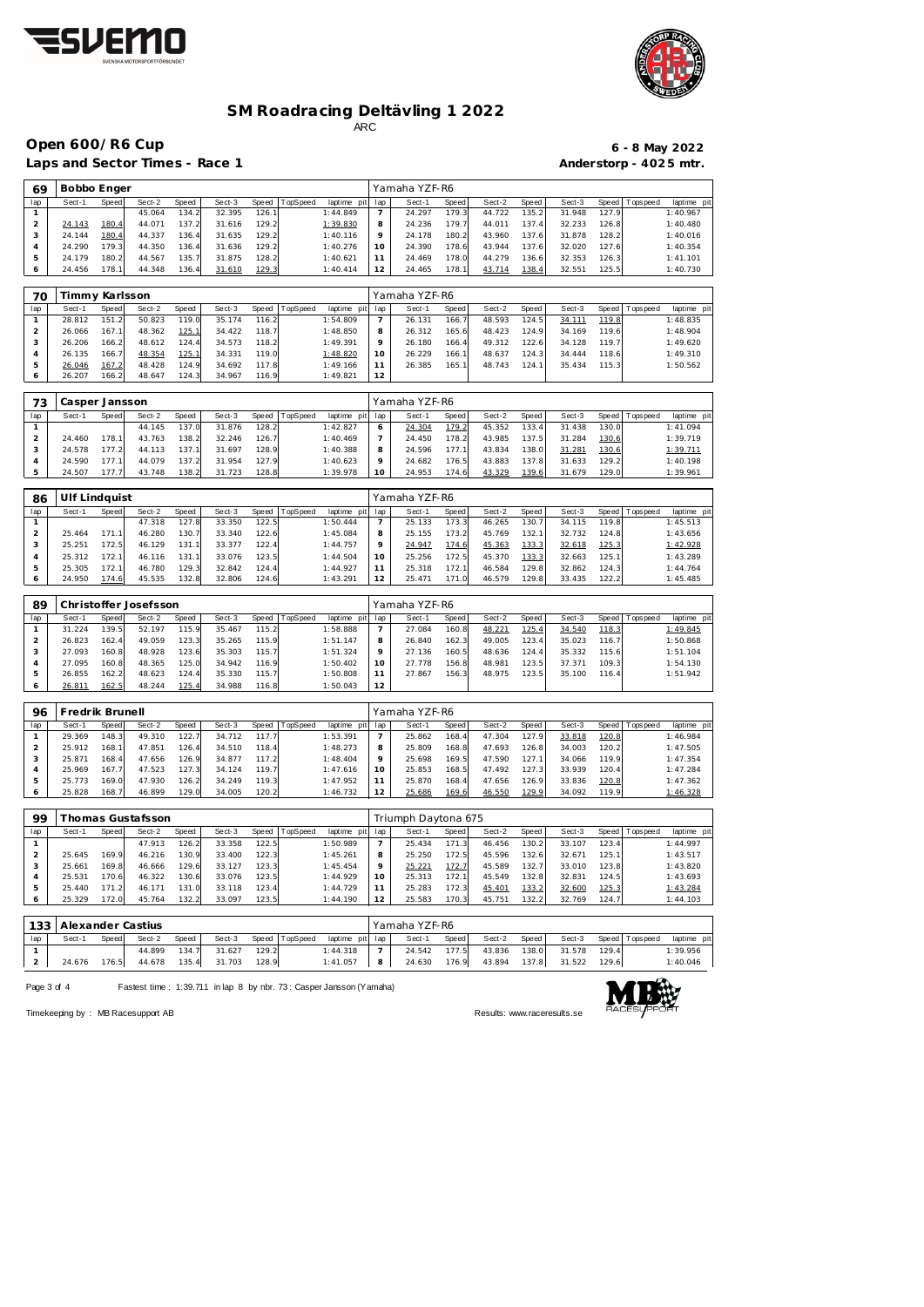



## **SM Roadracing Deltävling 1 2022** ARC

**Open 600/R6 Cup 6 - 8 May 2022**

Laps and Sector Times - Race 1

 **Bobbo Enger** Yamaha YZF-R6

|                        |  | 6 - 8 May 2022 |
|------------------------|--|----------------|
| Anderstorp - 4025 mtr. |  |                |

| lap            | Sect-1         | <b>Speed</b> | Sect-2 | Speed | Sect-3 | <b>Speed</b> | TopSpeed | laptime pit | lap            | Sect-1        | Speed | Sect-2 | Speed | Sect-3 |       | Speed Tops peed | laptime pi |
|----------------|----------------|--------------|--------|-------|--------|--------------|----------|-------------|----------------|---------------|-------|--------|-------|--------|-------|-----------------|------------|
| 1              |                |              | 45.064 | 134.2 | 32.395 | 126.1        |          | 1:44.849    | $\overline{7}$ | 24.297        | 179.3 | 44.722 | 135.2 | 31.948 | 127.9 |                 | 1:40.967   |
| $\overline{2}$ | 24.143         | 180.4        | 44.071 | 137.2 | 31.616 | 129.2        |          | 1:39.830    | 8              | 24.236        | 179.7 | 44.011 | 137.4 | 32.233 | 126.8 |                 | 1:40.480   |
| 3              | 24.144         | 180.4        | 44.337 | 136.4 | 31.635 | 129.2        |          | 1:40.116    | 9              | 24.178        | 180.2 | 43.960 | 137.6 | 31.878 | 128.2 |                 | 1:40.016   |
| 4              | 24.290         | 179.3        | 44.350 | 136.4 | 31.636 | 129.2        |          | 1:40.276    | 10             | 24.390        | 178.6 | 43.944 | 137.6 | 32.020 | 127.6 |                 | 1:40.354   |
| 5              | 24.179         | 180.2        | 44.567 | 135.7 | 31.875 | 128.2        |          | 1:40.621    | 11             | 24.469        | 178.0 | 44.279 | 136.6 | 32.353 | 126.3 |                 | 1: 41.101  |
| 6              | 24.456         | 178.1        | 44.348 | 136.4 | 31.610 | 129.3        |          | 1:40.414    | 12             | 24.465        | 178.1 | 43.714 | 138.4 | 32.551 | 125.5 |                 | 1:40.730   |
|                |                |              |        |       |        |              |          |             |                |               |       |        |       |        |       |                 |            |
| 70             | Timmy Karlsson |              |        |       |        |              |          |             |                | Yamaha YZF-R6 |       |        |       |        |       |                 |            |
| lap            | Sect-1         | Speed        | Sect-2 | Speed | Sect-3 | Speed        | TopSpeed | laptime pit | lap            | Sect-1        | Speed | Sect-2 | Speed | Sect-3 | Speed | Topspeed        | laptime pi |
| 1              | 28.812         | 151.2        | 50.823 | 119.0 | 35.174 | 116.2        |          | 1:54.809    | $\overline{7}$ | 26.131        | 166.7 | 48.593 | 124.5 | 34.111 | 119.8 |                 | 1:48.835   |
| $\overline{2}$ | 26.066         | 167.1        | 48.362 | 125.1 | 34.422 | 118.7        |          | 1:48.850    | 8              | 26.312        | 165.6 | 48.423 | 124.9 | 34.169 | 119.6 |                 | 1:48.904   |
| 3              | 26.206         | 166.2        | 48.612 | 124.4 | 34.573 | 118.2        |          | 1:49.391    | 9              | 26.180        | 166.4 | 49.312 | 122.6 | 34.128 | 119.7 |                 | 1:49.620   |
| 4              | 26.135         | 166.7        | 48.354 | 125.1 | 34.331 | 119.0        |          | 1:48.820    | 10             | 26.229        | 166.1 | 48.637 | 124.3 | 34.444 | 118.6 |                 | 1:49.310   |
| 5              | 26.046         | 167.2        | 48.428 | 124.9 | 34.692 | 117.8        |          | 1:49.166    | 11             | 26.385        | 165.1 | 48.743 | 124.1 | 35.434 | 115.3 |                 | 1:50.562   |
| 6              | 26.207         | 166.2        | 48.647 | 124.3 | 34.967 | 116.9        |          | 1:49.821    | 12             |               |       |        |       |        |       |                 |            |
|                |                |              |        |       |        |              |          |             |                |               |       |        |       |        |       |                 |            |
| 73             | Casper Jansson |              |        |       |        |              |          |             |                | Yamaha YZF-R6 |       |        |       |        |       |                 |            |
| lap            | Sect-1         | Speed        | Sect-2 | Speed | Sect-3 | Speed        | TopSpeed | laptime pit | lap            | Sect-1        | Speed | Sect-2 | Speed | Sect-3 |       | Speed Topspeed  | laptime pi |
| $\mathbf{1}$   |                |              | 44.145 | 137.0 | 31.876 | 128.2        |          | 1:42.827    | 6              | 24.304        | 179.2 | 45.352 | 133.4 | 31.438 | 130.0 |                 | 1:41.094   |
| 2              | 24.460         | 178.1        | 43.763 | 138.2 | 32.246 | 126.7        |          | 1:40.469    | $\overline{7}$ | 24.450        | 178.2 | 43.985 | 137.5 | 31.284 | 130.6 |                 | 1:39.719   |
| 3              | 24.578         | 177.2        | 44.113 | 137.1 | 31.697 | 128.9        |          | 1:40.388    | 8              | 24.596        | 177.1 | 43.834 | 138.0 | 31.281 | 130.6 |                 | 1:39.711   |
| 4              | 24.590         | 177.1        | 44.079 | 137.2 | 31.954 | 127.9        |          | 1:40.623    | 9              | 24.682        | 176.5 | 43.883 | 137.8 | 31.633 | 129.2 |                 | 1:40.198   |
| 5              | 24.507         | 177.7        | 43.748 | 138.2 | 31.723 | 128.8        |          | 1:39.978    | 10             | 24.953        | 174.6 | 43.329 | 139.6 | 31.679 | 129.0 |                 | 1:39.961   |
|                |                |              |        |       |        |              |          |             |                |               |       |        |       |        |       |                 |            |

| 86  | Ulf Lindauist |              |        |                    |        |       |          |             |     | Yamaha YZF-R6 |       |        |       |        |       |                 |             |
|-----|---------------|--------------|--------|--------------------|--------|-------|----------|-------------|-----|---------------|-------|--------|-------|--------|-------|-----------------|-------------|
| lap | Sect-1        | <b>Speed</b> | Sect-2 | Speed              | Sect-3 | Speed | TopSpeed | laptime pit | lap | Sect-1        | Speed | Sect-2 | Speed | Sect-3 |       | Speed Tops peed | laptime pit |
|     |               |              | 47.318 | 127.8              | 33.350 | 122.5 |          | 1:50.444    |     | 25.133        | 173.3 | 46.265 | 130.7 | 34.115 | 119.8 |                 | 1:45.513    |
|     | 25.464        | 171.1        | 46.280 | 130.7              | 33.340 | 122.6 |          | 1:45.084    | 8   | 25.155        | 173.2 | 45.769 | 132.1 | 32.732 | 124.8 |                 | 1:43.656    |
|     | 25.251        | 172.5        | 46.129 | 131                | 33.377 | 122.4 |          | 1:44.757    | Q   | 24.947        | 174.6 | 45.363 | 133.3 | 32.618 | 125.3 |                 | 1:42.928    |
|     | 25.312        | 172.1        | 46.116 | 131.1 <sub>1</sub> | 33.076 | 123.5 |          | 1:44.504    | 10  | 25.256        | 172.5 | 45.370 | 133.3 | 32.663 | 125.1 |                 | 1:43.289    |
|     | 25.305        | 172.1        | 46.780 | 129.3              | 32.842 | 124.4 |          | 1:44.927    |     | 25.318        | 172.7 | 46.584 | 129.8 | 32.862 | 124.3 |                 | 1:44.764    |
|     | 24.950        | 174.6        | 45.535 | 132.8              | 32.806 | 124.6 |          | 1:43.291    | 12  | 25.471        | 171.0 | 46.579 | 129.8 | 33.435 | 122.2 |                 | 1:45.485    |

| 89            |        |       | Christoffer Josefsson |       |        |       |          |             |     | Yamaha YZF-R6 |       |        |         |        |       |                 |             |
|---------------|--------|-------|-----------------------|-------|--------|-------|----------|-------------|-----|---------------|-------|--------|---------|--------|-------|-----------------|-------------|
| lap           | Sect-1 | Speed | Sect-2                | Speed | Sect-3 | Speed | TopSpeed | laptime pit | lap | Sect-1        | Speed | Sect-2 | Speed ' | Sect-3 |       | Speed Tops peed | laptime pit |
|               | 31.224 | 139.5 | 52.197                | 115.9 | 35.467 | 115.2 |          | 1:58.888    |     | 27.084        | 160.8 | 48.221 | 125.4   | 34.540 | 118.3 |                 | 1:49.845    |
|               | 26.823 | 162.4 | 49.059                | 123.3 | 35.265 | 115.9 |          | 1:51.147    | 8   | 26.840        | 162.3 | 49.005 | 123.4   | 35.023 | 116.7 |                 | 1:50.868    |
| З             | 27.093 | 160.8 | 48.928                | 123.6 | 35.303 | 115.7 |          | 1:51.324    | Q   | 27.136        | 160.5 | 48.636 | 124.4   | 35.332 | 115.6 |                 | 1:51.104    |
|               | 27.095 | 160.8 | 48.365                | 125.0 | 34.942 | 116.9 |          | 1:50.402    | 10  | 27.778        | 156.8 | 48.981 | 123.5   | 37.371 | 109.3 |                 | 1:54.130    |
| $\mathcal{P}$ | 26.855 | 162.2 | 48.623                | 124.4 | 35.330 | 115.7 |          | 1:50.808    |     | 27.867        | 156.3 | 48.975 | 123.51  | 35.100 | 116.4 |                 | 1:51.942    |
| O             | 26.811 | 162.5 | 48.244                | 125.4 | 34.988 | 116.8 |          | 1:50.043    | 12  |               |       |        |         |        |       |                 |             |

| 96  |        | redrik Brunell <sup>:</sup> |        |       |        |       |          |             |     | Yamaha YZF-R6 |       |        |       |        |       |                 |             |
|-----|--------|-----------------------------|--------|-------|--------|-------|----------|-------------|-----|---------------|-------|--------|-------|--------|-------|-----------------|-------------|
| lap | Sect-1 | Speed                       | Sect-2 | Speed | Sect-3 | Speed | TopSpeed | laptime pit | lap | Sect-1        | Speed | Sect-2 | Speed | Sect-3 |       | Speed Tops peed | laptime pit |
|     | 29.369 | 148.3                       | 49.310 | 122.7 | 34.712 | 117.7 |          | 1:53.391    |     | 25.862        | 168.4 | 47.304 | 127.9 | 33.818 | 120.8 |                 | 1:46.984    |
|     | 25.912 | 168.1                       | 47.851 | 126.4 | 34.510 | 118.4 |          | 1:48.273    | 8   | 25.809        | 168.8 | 47.693 | 126.8 | 34.003 | 120.2 |                 | 1:47.505    |
|     | 25.871 | 168.4                       | 47.656 | 126.9 | 34.877 | 117.2 |          | 1:48.404    |     | 25.698        | 169.5 | 47.590 | 127.1 | 34.066 | 119.9 |                 | 1:47.354    |
|     | 25.969 | 167.7                       | 47.523 | 127.3 | 34.124 | 119.7 |          | 1:47.616    |     | 25.853        | 168.5 | 47.492 | 127.3 | 33.939 | 120.4 |                 | 1:47.284    |
|     | 25.773 | 169.0                       | 47.930 | 126.2 | 34.249 | 119.3 |          | 1:47.952    |     | 25.870        | 168.4 | 47.656 | 126.9 | 33.836 | 120.8 |                 | 1:47.362    |
|     | 25.828 | 168.7                       | 46.899 | 129.0 | 34.005 | 120.2 |          | 1:46.732    | 12  | 25.686        | 169.6 | 46.550 | 129.9 | 34.092 | 119.9 |                 | 1:46.328    |

| 99  |        |       | Thomas Gustafsson |        |        |       |          |             |     | Triumph Daytona 675 |       |        |       |        |       |                 |             |
|-----|--------|-------|-------------------|--------|--------|-------|----------|-------------|-----|---------------------|-------|--------|-------|--------|-------|-----------------|-------------|
| lap | Sect-1 | Speed | Sect-2            | Speed  | Sect-3 | Speed | TopSpeed | laptime pit | lap | Sect-1              | Speed | Sect-2 | Speed | Sect-3 |       | Speed Tops peed | laptime pit |
|     |        |       | 47.913            | 126.2  | 33.358 | 122.5 |          | 1:50.989    |     | 25.434              | 171.3 | 46.456 | 130.2 | 33.107 | 123.4 |                 | 1:44.997    |
|     | 25.645 | 169.9 | 46.216            | 130.9  | 33.400 | 122.3 |          | 1:45.261    | 8   | 25.250              | 172.5 | 45.596 | 132.6 | 32.671 | 125.1 |                 | 1:43.517    |
|     | 25.661 | 169.8 | 46.666            | 129.6  | 33.127 | 123.3 |          | 1:45.454    | Q   | 25.221              | 172.7 | 45.589 | 132.7 | 33.010 | 123.8 |                 | 1:43.820    |
|     | 25.531 | 170.6 | 46.322            | 130.6  | 33.076 | 123.5 |          | 1:44.929    | 10  | 25.313              | 172.1 | 45.549 | 132.8 | 32.831 | 124.5 |                 | 1:43.693    |
|     | 25.440 |       | 46.171            | 131.0  | 33.118 | 123.4 |          | 1:44.729    |     | 25.283              | 172.3 | 45.401 | 133.2 | 32.600 | 125.3 |                 | 1:43.284    |
|     | 25.329 | 172.0 | 45.764            | 132.2. | 33.097 | 123.5 |          | 1:44.190    | 12  | 25.583              | 170.3 | 45.751 | 132.2 | 32.769 | 124.7 |                 | 1:44.103    |

|     |        |              | 133   Alexander Castius |       |        |       |                |                 |   | Yamaha YZF-R6 |       |        |       |        |       |                 |             |  |
|-----|--------|--------------|-------------------------|-------|--------|-------|----------------|-----------------|---|---------------|-------|--------|-------|--------|-------|-----------------|-------------|--|
| lap | Sect-1 | <b>Speed</b> | Sect-2                  | Speed | Sect-3 |       | Speed TopSpeed | laptime pit lap |   | Sect-1        | Speed | Sect-2 | Speed | Sect-3 |       | Speed Tops peed | laptime pit |  |
|     |        |              | 44.899                  | 134.7 | 31.627 | 129.2 |                | 1:44.318        |   | 24.542        | 177.5 | 43.836 | 138.0 | 31.578 | 129.4 |                 | 1:39.956    |  |
|     | 24.676 | 176.5        | 44.678                  | 135.4 | 31.703 | 128.9 |                | 1:41.057        | 8 | 24.630        | 176.9 | 43.894 | 137.8 | 31.522 | 129.6 |                 | 1:40.046    |  |

Page 3 of 4 Fastest time : 1:39.711 in lap 8 by nbr. 73 : Casper Jansson (Yamaha)



Timekeeping by : MB Racesupport AB Results:<www.raceresults.se>